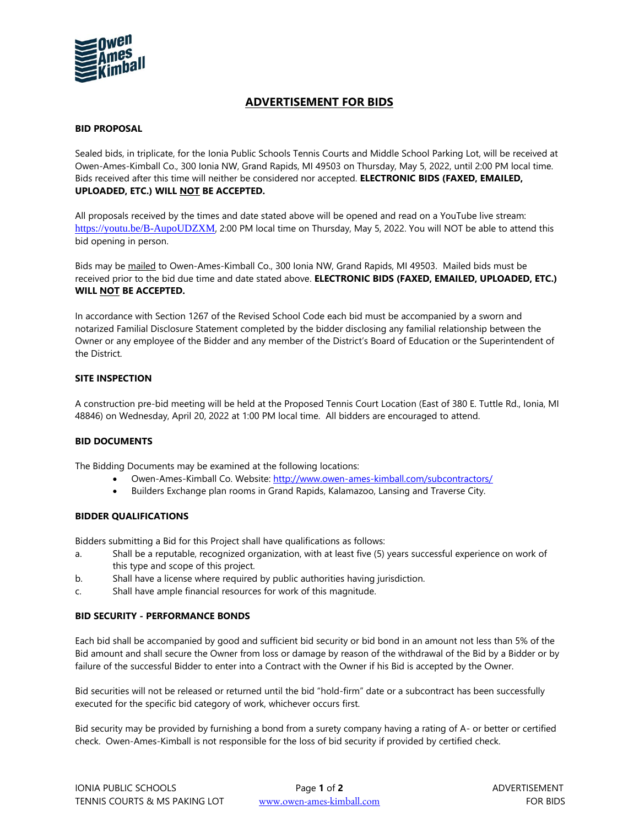

# **ADVERTISEMENT FOR BIDS**

## **BID PROPOSAL**

Sealed bids, in triplicate, for the Ionia Public Schools Tennis Courts and Middle School Parking Lot, will be received at Owen-Ames-Kimball Co., 300 Ionia NW, Grand Rapids, MI 49503 on Thursday, May 5, 2022, until 2:00 PM local time. Bids received after this time will neither be considered nor accepted. **ELECTRONIC BIDS (FAXED, EMAILED, UPLOADED, ETC.) WILL NOT BE ACCEPTED.**

All proposals received by the times and date stated above will be opened and read on a YouTube live stream: <https://youtu.be/B-AupoUDZXM>, 2:00 PM local time on Thursday, May 5, 2022. You will NOT be able to attend this bid opening in person.

Bids may be mailed to Owen-Ames-Kimball Co., 300 Ionia NW, Grand Rapids, MI 49503. Mailed bids must be received prior to the bid due time and date stated above. **ELECTRONIC BIDS (FAXED, EMAILED, UPLOADED, ETC.) WILL NOT BE ACCEPTED.**

In accordance with Section 1267 of the Revised School Code each bid must be accompanied by a sworn and notarized Familial Disclosure Statement completed by the bidder disclosing any familial relationship between the Owner or any employee of the Bidder and any member of the District's Board of Education or the Superintendent of the District.

## **SITE INSPECTION**

A construction pre-bid meeting will be held at the Proposed Tennis Court Location (East of 380 E. Tuttle Rd., Ionia, MI 48846) on Wednesday, April 20, 2022 at 1:00 PM local time. All bidders are encouraged to attend.

# **BID DOCUMENTS**

The Bidding Documents may be examined at the following locations:

- Owen-Ames-Kimball Co. Website:<http://www.owen-ames-kimball.com/subcontractors/>
	- Builders Exchange plan rooms in Grand Rapids, Kalamazoo, Lansing and Traverse City.

### **BIDDER QUALIFICATIONS**

Bidders submitting a Bid for this Project shall have qualifications as follows:

- a. Shall be a reputable, recognized organization, with at least five (5) years successful experience on work of this type and scope of this project.
- b. Shall have a license where required by public authorities having jurisdiction.
- c. Shall have ample financial resources for work of this magnitude.

### **BID SECURITY - PERFORMANCE BONDS**

Each bid shall be accompanied by good and sufficient bid security or bid bond in an amount not less than 5% of the Bid amount and shall secure the Owner from loss or damage by reason of the withdrawal of the Bid by a Bidder or by failure of the successful Bidder to enter into a Contract with the Owner if his Bid is accepted by the Owner.

Bid securities will not be released or returned until the bid "hold-firm" date or a subcontract has been successfully executed for the specific bid category of work, whichever occurs first.

Bid security may be provided by furnishing a bond from a surety company having a rating of A- or better or certified check. Owen-Ames-Kimball is not responsible for the loss of bid security if provided by certified check.